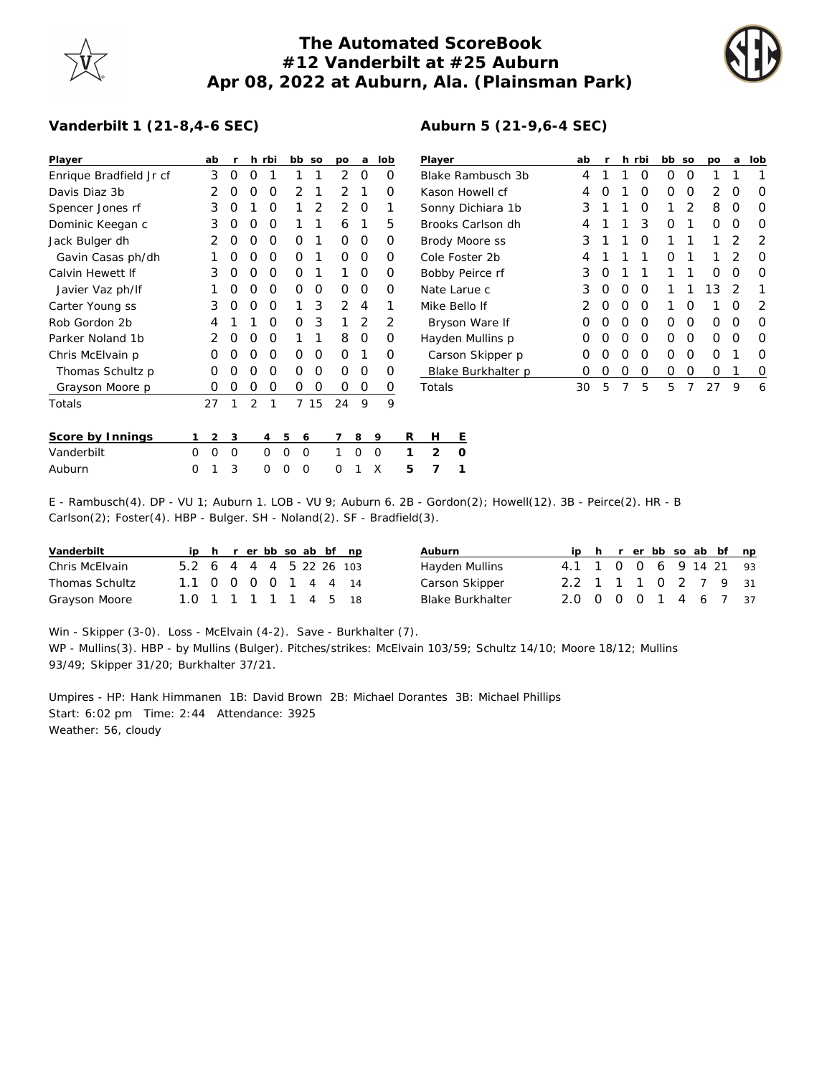## **The Automated ScoreBook #12 Vanderbilt at #25 Auburn Apr 08, 2022 at Auburn, Ala. (Plainsman Park)**

**Auburn 5 (21-9,6-4 SEC)**



## **Vanderbilt 1 (21-8,4-6 SEC)**

| Player                  | ab                   | <b>r</b> |          | h rbi          | bb so                |    | po       | a           | lob      |                 | Player            |                    |  | ab |   |   | h rbi    | bb so    |          | po | a              | lob      |
|-------------------------|----------------------|----------|----------|----------------|----------------------|----|----------|-------------|----------|-----------------|-------------------|--------------------|--|----|---|---|----------|----------|----------|----|----------------|----------|
| Enrique Bradfield Jr cf | 3                    | 0        | $\Omega$ |                |                      |    | 2        | 0           | 0        |                 |                   | Blake Rambusch 3b  |  | 4  |   |   | 0        | 0        | 0        |    |                |          |
| Davis Diaz 3b           |                      | O        |          | O              | 2                    |    |          |             | O        | Kason Howell cf |                   |                    |  | 4  |   |   | O        | O        | 0        | 2  | O              | 0        |
| Spencer Jones rf        | 3                    | O        |          | O              |                      | 2  | 2        | $\Omega$    |          |                 | Sonny Dichiara 1b |                    |  |    |   |   | O        |          | 2        | 8  | 0              | $\Omega$ |
| Dominic Keegan c        | 3                    | O        | $\left($ | $\Omega$       |                      |    | 6        |             | 5        |                 |                   | Brooks Carlson dh  |  | 4  |   |   | 3        | O        |          | 0  | O              | $\Omega$ |
| Jack Bulger dh          |                      |          |          | O              | Ο                    |    | $\Omega$ | 0           | 0        |                 |                   | Brody Moore ss     |  | 3  |   |   | ∩        |          |          |    | $\overline{2}$ | 2        |
| Gavin Casas ph/dh       |                      |          |          | O              | Ο                    |    | $\Omega$ | 0           | O        |                 |                   | Cole Foster 2b     |  |    |   |   |          | O        |          |    | 2              | $\Omega$ |
| Calvin Hewett If        | 3                    | $\Omega$ | $\left($ | $\Omega$       | 0                    |    |          | 0           | 0        |                 |                   | Bobby Peirce rf    |  | 3  | 0 |   |          |          |          | 0  | O              | $\Omega$ |
| Javier Vaz ph/lf        |                      | O        | O        | $\Omega$       | $\Omega$             | 0  | $\Omega$ | 0           | $\Omega$ |                 |                   | Nate Larue c       |  | 3  | 0 | O | $\Omega$ |          |          | 13 | 2              |          |
| Carter Young ss         | 3                    | O        | O        | $\Omega$       |                      | 3  | 2        | 4           |          |                 |                   | Mike Bello If      |  |    | O | O | $\Omega$ |          | O        |    | O              | 2        |
| Rob Gordon 2b           | 4                    |          |          | O              | O                    | 3  |          | 2           | 2        |                 | Bryson Ware If    |                    |  | Ο  | O | 0 | $\Omega$ | $\Omega$ | $\Omega$ | 0  | O              | $\Omega$ |
| Parker Noland 1b        |                      |          |          | $\Omega$       |                      |    | 8        | 0           | 0        |                 |                   | Hayden Mullins p   |  | Ο  |   | Ο | 0        | 0        | 0        | 0  | 0              | $\Omega$ |
| Chris McElvain p        | O                    |          |          | O              | 0                    | 0  | $\Omega$ |             | 0        |                 |                   | Carson Skipper p   |  | Ο  |   | Ο | $\Omega$ | Ο        | 0        | Ο  |                | $\Omega$ |
| Thomas Schultz p        | $\Omega$             | O        | $\Omega$ | O              | 0                    | 0  | $\Omega$ | 0           | 0        |                 |                   | Blake Burkhalter p |  | 0  | O | 0 | 0        | 0        | 0        | 0  |                | 0        |
| Grayson Moore p         | $\Omega$             | O        | O        | $\Omega$       | 0                    | 0  | 0        | $\mathbf 0$ | 0        |                 | Totals            |                    |  | 30 | 5 | 7 | 5        | 5        | 7        | 27 | 9              | 6        |
| Totals                  | 27                   |          | 2        |                | $\overline{7}$       | 15 | 24       | 9           | 9        |                 |                   |                    |  |    |   |   |          |          |          |    |                |          |
| Score by Innings        | 2                    | 3        |          | $\overline{4}$ | 5<br>6               |    |          | 8           | 9        | R               | H                 | Ε                  |  |    |   |   |          |          |          |    |                |          |
| Vanderbilt              | $\Omega$<br>$\Omega$ | $\Omega$ |          | $\Omega$       | $\Omega$<br>$\Omega$ |    |          | $\Omega$    | 0        |                 | $\overline{2}$    | $\Omega$           |  |    |   |   |          |          |          |    |                |          |
| Auburn                  | $\Omega$             | 3        |          | $\Omega$       | $\Omega$<br>$\Omega$ |    | Ω        |             | X        | 5               |                   |                    |  |    |   |   |          |          |          |    |                |          |

E - Rambusch(4). DP - VU 1; Auburn 1. LOB - VU 9; Auburn 6. 2B - Gordon(2); Howell(12). 3B - Peirce(2). HR - B Carlson(2); Foster(4). HBP - Bulger. SH - Noland(2). SF - Bradfield(3).

| Vanderbilt     |                         |  |  |  | ip h r er bb so ab bf np | Auburn                  |                        |  |  |  | ip h r er bb so ab bf np |  |
|----------------|-------------------------|--|--|--|--------------------------|-------------------------|------------------------|--|--|--|--------------------------|--|
| Chris McElvain | 5.2 6 4 4 4 5 22 26 103 |  |  |  |                          | Hayden Mullins          | 4.1 1 0 0 6 9 14 21 93 |  |  |  |                          |  |
| Thomas Schultz | 1.1 0 0 0 0 1 4 4 14    |  |  |  |                          | Carson Skipper          | 2.2 1 1 1 0 2 7 9 31   |  |  |  |                          |  |
| Grayson Moore  | 1.0 1 1 1 1 1 4 5 18    |  |  |  |                          | <b>Blake Burkhalter</b> | 2.0 0 0 0 1 4 6 7 37   |  |  |  |                          |  |

Win - Skipper (3-0). Loss - McElvain (4-2). Save - Burkhalter (7). WP - Mullins(3). HBP - by Mullins (Bulger). Pitches/strikes: McElvain 103/59; Schultz 14/10; Moore 18/12; Mullins 93/49; Skipper 31/20; Burkhalter 37/21.

Umpires - HP: Hank Himmanen 1B: David Brown 2B: Michael Dorantes 3B: Michael Phillips Start: 6:02 pm Time: 2:44 Attendance: 3925 Weather: 56, cloudy